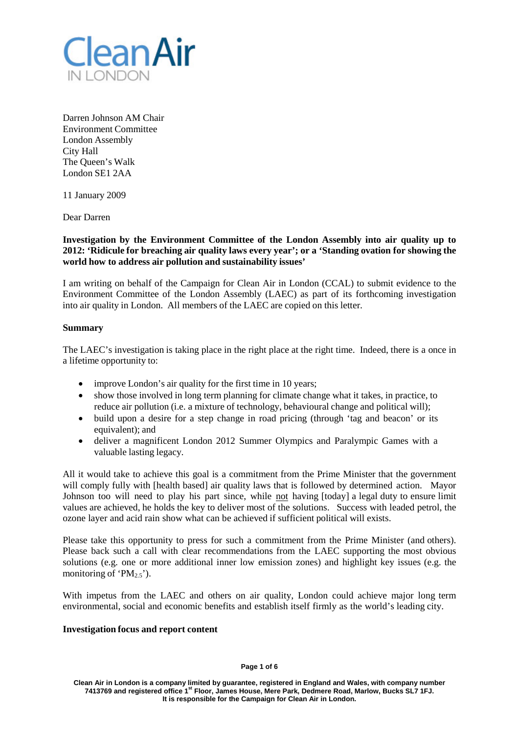

Darren Johnson AM Chair Environment Committee London Assembly City Hall The Queen's Walk London SE1 2AA

11 January 2009

Dear Darren

**Investigation by the Environment Committee of the London Assembly into air quality up to 2012: 'Ridicule for breaching air quality laws every year'; or a 'Standing ovation for showing the world how to address air pollution and sustainability issues'**

I am writing on behalf of the Campaign for Clean Air in London (CCAL) to submit evidence to the Environment Committee of the London Assembly (LAEC) as part of its forthcoming investigation into air quality in London. All members of the LAEC are copied on this letter.

# **Summary**

The LAEC's investigation is taking place in the right place at the right time. Indeed, there is a once in a lifetime opportunity to:

- improve London's air quality for the first time in 10 years;
- show those involved in long term planning for climate change what it takes, in practice, to reduce air pollution (i.e. a mixture of technology, behavioural change and political will);
- build upon a desire for a step change in road pricing (through 'tag and beacon' or its equivalent); and
- deliver a magnificent London 2012 Summer Olympics and Paralympic Games with a valuable lasting legacy.

All it would take to achieve this goal is a commitment from the Prime Minister that the government will comply fully with [health based] air quality laws that is followed by determined action. Mayor Johnson too will need to play his part since, while not having [today] a legal duty to ensure limit values are achieved, he holds the key to deliver most of the solutions. Success with leaded petrol, the ozone layer and acid rain show what can be achieved if sufficient political will exists.

Please take this opportunity to press for such a commitment from the Prime Minister (and others). Please back such a call with clear recommendations from the LAEC supporting the most obvious solutions (e.g. one or more additional inner low emission zones) and highlight key issues (e.g. the monitoring of ' $PM_{2.5}$ ').

With impetus from the LAEC and others on air quality, London could achieve major long term environmental, social and economic benefits and establish itself firmly as the world's leading city.

### **Investigation focus and report content**

#### **Page 1 of 6**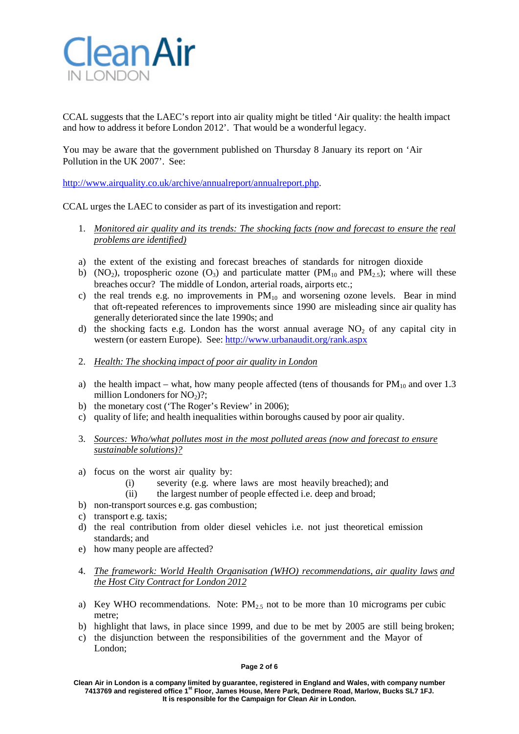

CCAL suggests that the LAEC's report into air quality might be titled 'Air quality: the health impact and how to address it before London 2012'. That would be a wonderful legacy.

You may be aware that the government published on Thursday 8 January its report on 'Air Pollution in the UK 2007'. See:

[http://www.airquality.co.uk/archive/annualreport/annualreport.php.](http://www.airquality.co.uk/archive/annualreport/annualreport.php)

CCAL urges the LAEC to consider as part of its investigation and report:

- 1. *Monitored air quality and its trends: The shocking facts (now and forecast to ensure the real problems are identified)*
- a) the extent of the existing and forecast breaches of standards for nitrogen dioxide
- b) (NO<sub>2</sub>), tropospheric ozone (O<sub>3</sub>) and particulate matter (PM<sub>10</sub> and PM<sub>2.5</sub>); where will these breaches occur? The middle of London, arterial roads, airports etc.;
- c) the real trends e.g. no improvements in  $PM_{10}$  and worsening ozone levels. Bear in mind that oft-repeated references to improvements since 1990 are misleading since air quality has generally deteriorated since the late 1990s; and
- d) the shocking facts e.g. London has the worst annual average  $NO<sub>2</sub>$  of any capital city in western (or eastern Europe). See: <http://www.urbanaudit.org/rank.aspx>
- 2. *Health: The shocking impact of poor air quality in London*
- a) the health impact what, how many people affected (tens of thousands for  $PM_{10}$  and over 1.3 million Londoners for  $NO<sub>2</sub>$ )?;
- b) the monetary cost ('The Roger's Review' in 2006);
- c) quality of life; and health inequalities within boroughs caused by poor air quality.
- 3. *Sources: Who/what pollutes most in the most polluted areas (now and forecast to ensure sustainable solutions)?*
- a) focus on the worst air quality by:
	- (i) severity (e.g. where laws are most heavily breached); and
	- (ii) the largest number of people effected i.e. deep and broad;
- b) non-transport sources e.g. gas combustion;
- c) transport e.g. taxis;
- d) the real contribution from older diesel vehicles i.e. not just theoretical emission standards; and
- e) how many people are affected?
- 4. *The framework: World Health Organisation (WHO) recommendations, air quality laws and the Host City Contract for London 2012*
- a) Key WHO recommendations. Note:  $PM<sub>2.5</sub>$  not to be more than 10 micrograms per cubic metre;
- b) highlight that laws, in place since 1999, and due to be met by 2005 are still being broken;
- c) the disjunction between the responsibilities of the government and the Mayor of London;

### **Page 2 of 6**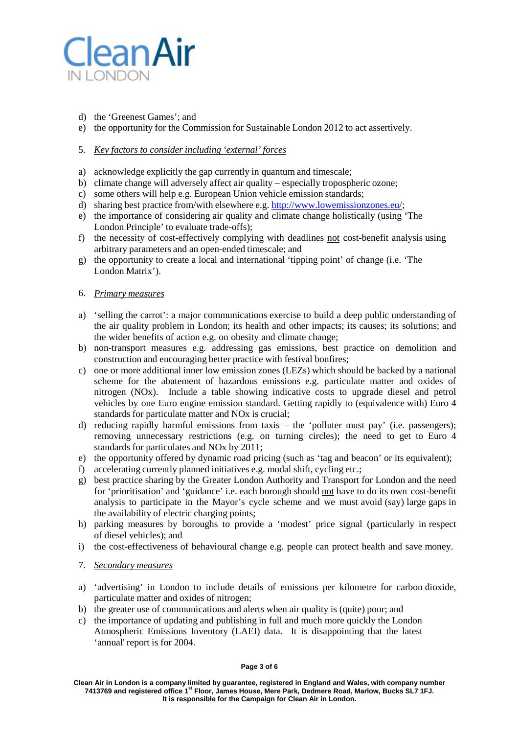

- d) the 'Greenest Games'; and
- e) the opportunity for the Commission for Sustainable London 2012 to act assertively.

# 5. *Key factors to consider including 'external' forces*

- a) acknowledge explicitly the gap currently in quantum and timescale;
- b) climate change will adversely affect air quality especially tropospheric ozone;
- c) some others will help e.g. European Union vehicle emission standards;
- d) sharing best practice from/with elsewhere e.g. [http://www.lowemissionzones.eu/;](http://www.lowemissionzones.eu/%3B)
- e) the importance of considering air quality and climate change holistically (using 'The London Principle' to evaluate trade-offs);
- f) the necessity of cost-effectively complying with deadlines not cost-benefit analysis using arbitrary parameters and an open-ended timescale; and
- g) the opportunity to create a local and international 'tipping point' of change (i.e. 'The London Matrix').
- 6. *Primary measures*
- a) 'selling the carrot': a major communications exercise to build a deep public understanding of the air quality problem in London; its health and other impacts; its causes; its solutions; and the wider benefits of action e.g. on obesity and climate change;
- b) non-transport measures e.g. addressing gas emissions, best practice on demolition and construction and encouraging better practice with festival bonfires;
- c) one or more additional inner low emission zones (LEZs) which should be backed by a national scheme for the abatement of hazardous emissions e.g. particulate matter and oxides of nitrogen (NOx). Include a table showing indicative costs to upgrade diesel and petrol vehicles by one Euro engine emission standard. Getting rapidly to (equivalence with) Euro 4 standards for particulate matter and NOx is crucial;
- d) reducing rapidly harmful emissions from taxis the 'polluter must pay' (i.e. passengers); removing unnecessary restrictions (e.g. on turning circles); the need to get to Euro 4 standards for particulates and NOx by 2011;
- e) the opportunity offered by dynamic road pricing (such as 'tag and beacon' or its equivalent);
- f) accelerating currently planned initiatives e.g. modal shift, cycling etc.;
- g) best practice sharing by the Greater London Authority and Transport for London and the need for 'prioritisation' and 'guidance' i.e. each borough should not have to do its own cost-benefit analysis to participate in the Mayor's cycle scheme and we must avoid (say) large gaps in the availability of electric charging points;
- h) parking measures by boroughs to provide a 'modest' price signal (particularly in respect of diesel vehicles); and
- i) the cost-effectiveness of behavioural change e.g. people can protect health and save money.
- 7. *Secondary measures*
- a) 'advertising' in London to include details of emissions per kilometre for carbon dioxide, particulate matter and oxides of nitrogen;
- b) the greater use of communications and alerts when air quality is (quite) poor; and
- c) the importance of updating and publishing in full and much more quickly the London Atmospheric Emissions Inventory (LAEI) data. It is disappointing that the latest 'annual' report is for 2004.

### **Page 3 of 6**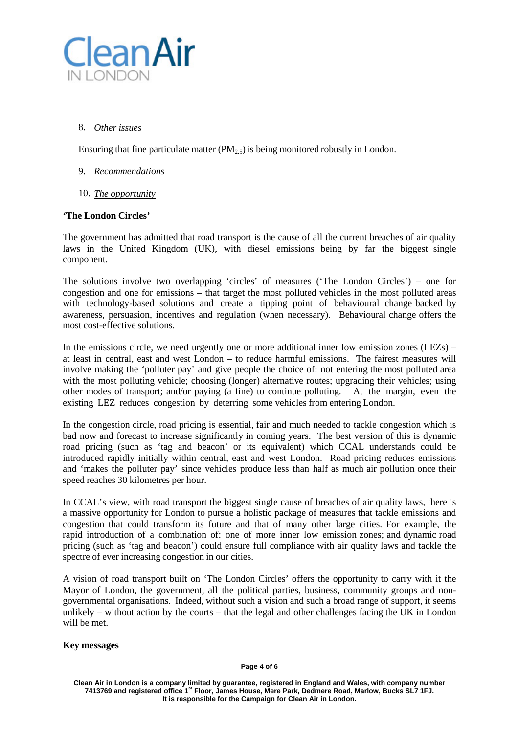

# 8. *Other issues*

Ensuring that fine particulate matter  $(PM_2, 5)$  is being monitored robustly in London.

- 9. *Recommendations*
- 10. *The opportunity*

# **'The London Circles'**

The government has admitted that road transport is the cause of all the current breaches of air quality laws in the United Kingdom (UK), with diesel emissions being by far the biggest single component.

The solutions involve two overlapping 'circles' of measures ('The London Circles') – one for congestion and one for emissions – that target the most polluted vehicles in the most polluted areas with technology-based solutions and create a tipping point of behavioural change backed by awareness, persuasion, incentives and regulation (when necessary). Behavioural change offers the most cost-effective solutions.

In the emissions circle, we need urgently one or more additional inner low emission zones (LEZs) – at least in central, east and west London – to reduce harmful emissions. The fairest measures will involve making the 'polluter pay' and give people the choice of: not entering the most polluted area with the most polluting vehicle; choosing (longer) alternative routes; upgrading their vehicles; using other modes of transport; and/or paying (a fine) to continue polluting. At the margin, even the existing LEZ reduces congestion by deterring some vehicles from entering London.

In the congestion circle, road pricing is essential, fair and much needed to tackle congestion which is bad now and forecast to increase significantly in coming years. The best version of this is dynamic road pricing (such as 'tag and beacon' or its equivalent) which CCAL understands could be introduced rapidly initially within central, east and west London. Road pricing reduces emissions and 'makes the polluter pay' since vehicles produce less than half as much air pollution once their speed reaches 30 kilometres per hour.

In CCAL's view, with road transport the biggest single cause of breaches of air quality laws, there is a massive opportunity for London to pursue a holistic package of measures that tackle emissions and congestion that could transform its future and that of many other large cities. For example, the rapid introduction of a combination of: one of more inner low emission zones; and dynamic road pricing (such as 'tag and beacon') could ensure full compliance with air quality laws and tackle the spectre of ever increasing congestion in our cities.

A vision of road transport built on 'The London Circles' offers the opportunity to carry with it the Mayor of London, the government, all the political parties, business, community groups and nongovernmental organisations. Indeed, without such a vision and such a broad range of support, it seems unlikely – without action by the courts – that the legal and other challenges facing the UK in London will be met.

# **Key messages**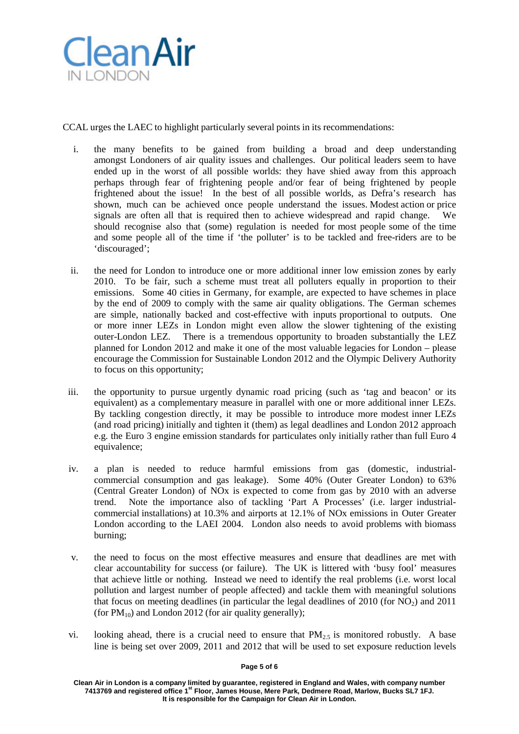

CCAL urges the LAEC to highlight particularly several points in its recommendations:

- i. the many benefits to be gained from building a broad and deep understanding amongst Londoners of air quality issues and challenges. Our political leaders seem to have ended up in the worst of all possible worlds: they have shied away from this approach perhaps through fear of frightening people and/or fear of being frightened by people frightened about the issue! In the best of all possible worlds, as Defra's research has shown, much can be achieved once people understand the issues. Modest action or price signals are often all that is required then to achieve widespread and rapid change. We should recognise also that (some) regulation is needed for most people some of the time and some people all of the time if 'the polluter' is to be tackled and free-riders are to be 'discouraged';
- ii. the need for London to introduce one or more additional inner low emission zones by early 2010. To be fair, such a scheme must treat all polluters equally in proportion to their emissions. Some 40 cities in Germany, for example, are expected to have schemes in place by the end of 2009 to comply with the same air quality obligations. The German schemes are simple, nationally backed and cost-effective with inputs proportional to outputs. One or more inner LEZs in London might even allow the slower tightening of the existing outer-London LEZ. There is a tremendous opportunity to broaden substantially the LEZ There is a tremendous opportunity to broaden substantially the LEZ planned for London 2012 and make it one of the most valuable legacies for London – please encourage the Commission for Sustainable London 2012 and the Olympic Delivery Authority to focus on this opportunity;
- iii. the opportunity to pursue urgently dynamic road pricing (such as 'tag and beacon' or its equivalent) as a complementary measure in parallel with one or more additional inner LEZs. By tackling congestion directly, it may be possible to introduce more modest inner LEZs (and road pricing) initially and tighten it (them) as legal deadlines and London 2012 approach e.g. the Euro 3 engine emission standards for particulates only initially rather than full Euro 4 equivalence;
- iv. a plan is needed to reduce harmful emissions from gas (domestic, industrialcommercial consumption and gas leakage). Some 40% (Outer Greater London) to 63% (Central Greater London) of NOx is expected to come from gas by 2010 with an adverse trend. Note the importance also of tackling 'Part A Processes' (i.e. larger industrialcommercial installations) at 10.3% and airports at 12.1% of NOx emissions in Outer Greater London according to the LAEI 2004. London also needs to avoid problems with biomass burning;
- v. the need to focus on the most effective measures and ensure that deadlines are met with clear accountability for success (or failure). The UK is littered with 'busy fool' measures that achieve little or nothing. Instead we need to identify the real problems (i.e. worst local pollution and largest number of people affected) and tackle them with meaningful solutions that focus on meeting deadlines (in particular the legal deadlines of 2010 (for  $NO<sub>2</sub>$ ) and 2011 (for  $PM_{10}$ ) and London 2012 (for air quality generally);
- vi. looking ahead, there is a crucial need to ensure that  $PM<sub>2.5</sub>$  is monitored robustly. A base line is being set over 2009, 2011 and 2012 that will be used to set exposure reduction levels

**Page 5 of 6**